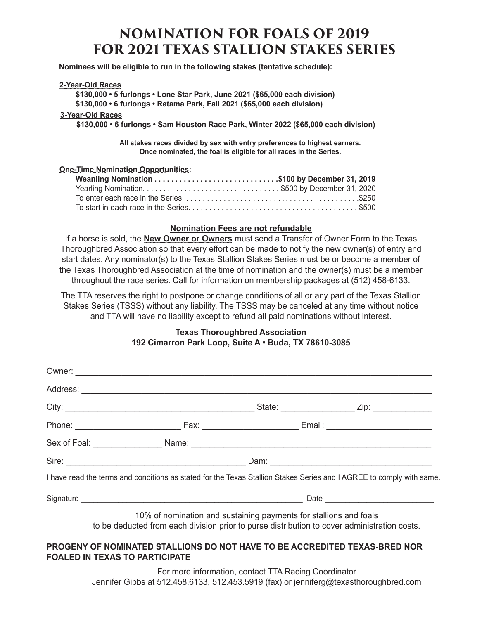# **NOMINATION FOR FOALS OF 2019 FOR 2021 TEXAS STALLION STAKES SERIES**

 **Nominees will be eligible to run in the following stakes (tentative schedule):** 

#### **2-Year-Old Races**

 **\$130,000 • 5 furlongs • Lone Star Park, June 2021 (\$65,000 each division)** 

**STALLION NAME: \_\_\_\_\_\_\_\_\_\_\_\_\_\_\_\_\_\_\_\_\_\_\_\_\_\_\_\_\_\_\_\_\_\_\_\_\_\_\_\_\_\_\_\_\_ YEAR OF BIRTH: \_\_\_\_\_\_\_\_\_\_\_\_\_ \$130,000 • 6 furlongs • Retama Park, Fall 2021 (\$65,000 each division)**

#### **3-Year-Old Races**

**SIRE: \_\_\_\_\_\_\_\_\_\_\_\_\_\_\_\_\_\_\_\_\_ DAM: \_\_\_\_\_\_\_\_\_\_\_\_\_\_\_\_\_\_\_\_\_ 2015 ADVERTISED STUD FEE: \_\_\_\_\_\_\_\_\_\_ \$130,000 • 6 furlongs • Sam Houston Race Park, Winter 2022 (\$65,000 each division)**

**PAYMENT SCHEDULE: December 31, 2014 \$750 NOMINATION FEE** All stakes races divided by sex with entry preferences to highest earners.<br>Chas nominated, the feel is eligible for all reses in the Series. Once nominated, the foal is eligible for all races in the Series.<br>.

#### **One-Time Nomination Opportunities:**

| Yearling Nomination\$500 by December 31, 2020 |  |
|-----------------------------------------------|--|
|                                               |  |
|                                               |  |

#### **Nomination Fees are not refundable**

If a horse is sold, the **New Owner or Owners** must send a Transfer of Owner Form to the Texas Thoroughbred Association so that every effort can be made to notify the new owner(s) of entry and start dates. Any nominator(s) to the Texas Stallion Stakes Series must be or become a member of the Texas Thoroughbred Association at the time of nomination and the owner(s) must be a member throughout the race series. Call for information on membership packages at (512) 458-6133.

The TTA reserves the right to postpone or change conditions of all or any part of the Texas Stallion Stakes Series (TSSS) without any liability. The TSSS may be canceled at any time without notice and TTA will have no liability except to refund all paid nominations without interest.

### **Texas Thoroughbred Association 192 Cimarron Park Loop, Suite A • Buda, TX 78610-3085**

|                                       |  |                                                                   | I have read the terms and conditions as stated for the Texas Stallion Stakes Series and I AGREE to comply with same. |
|---------------------------------------|--|-------------------------------------------------------------------|----------------------------------------------------------------------------------------------------------------------|
|                                       |  |                                                                   |                                                                                                                      |
|                                       |  | 10% of nomination and sustaining payments for stallions and foals | to be deducted from each division prior to purse distribution to cover administration costs.                         |
| <b>FOALED IN TEXAS TO PARTICIPATE</b> |  |                                                                   | PROGENY OF NOMINATED STALLIONS DO NOT HAVE TO BE ACCREDITED TEXAS-BRED NOR                                           |

For more information, contact TTA Racing Coordinator Jennifer Gibbs at 512.458.6133, 512.453.5919 (fax) or jenniferg@texasthoroughbred.com